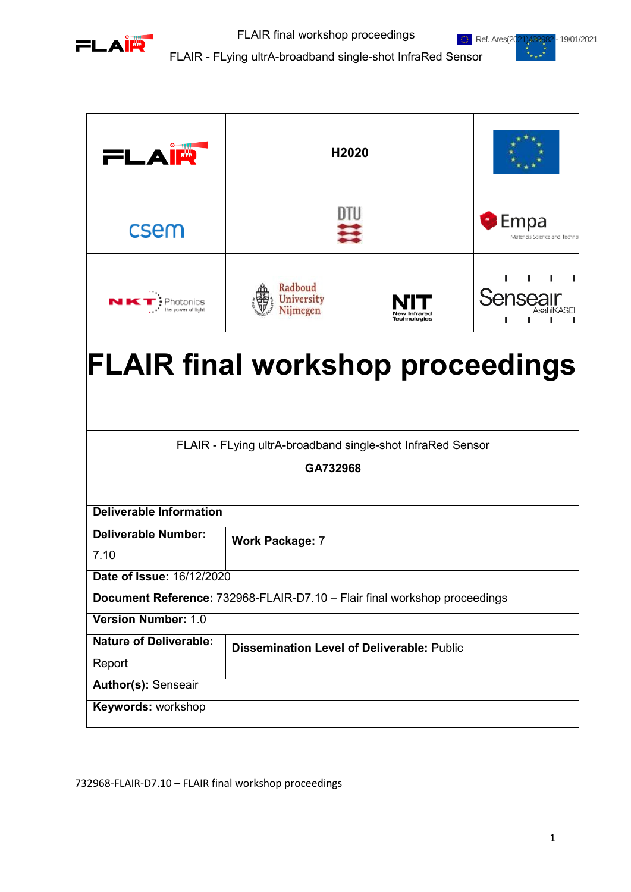



FLAIR - FLying ultrA-broadband single-shot InfraRed Sensor

| FLAIR                                                                                                  | H2020                                             |              |                                             |  |  |
|--------------------------------------------------------------------------------------------------------|---------------------------------------------------|--------------|---------------------------------------------|--|--|
| csem                                                                                                   |                                                   |              | <b>Empa</b><br>Materials Science and Techno |  |  |
|                                                                                                        | Radboud<br><b>University</b><br>Niimegen          | Technologies | Senseair                                    |  |  |
| <b>FLAIR final workshop proceedings</b>                                                                |                                                   |              |                                             |  |  |
| FLAIR - FLying ultrA-broadband single-shot InfraRed Sensor<br>GA732968                                 |                                                   |              |                                             |  |  |
| <b>Deliverable Information</b>                                                                         |                                                   |              |                                             |  |  |
| <b>Deliverable Number:</b><br>7.10                                                                     | <b>Work Package: 7</b>                            |              |                                             |  |  |
| Date of Issue: 16/12/2020<br>Document Reference: 732968-FLAIR-D7.10 - Flair final workshop proceedings |                                                   |              |                                             |  |  |
| <b>Version Number: 1.0</b>                                                                             |                                                   |              |                                             |  |  |
| <b>Nature of Deliverable:</b><br>Report                                                                | <b>Dissemination Level of Deliverable: Public</b> |              |                                             |  |  |
| <b>Author(s): Senseair</b>                                                                             |                                                   |              |                                             |  |  |
| Keywords: workshop                                                                                     |                                                   |              |                                             |  |  |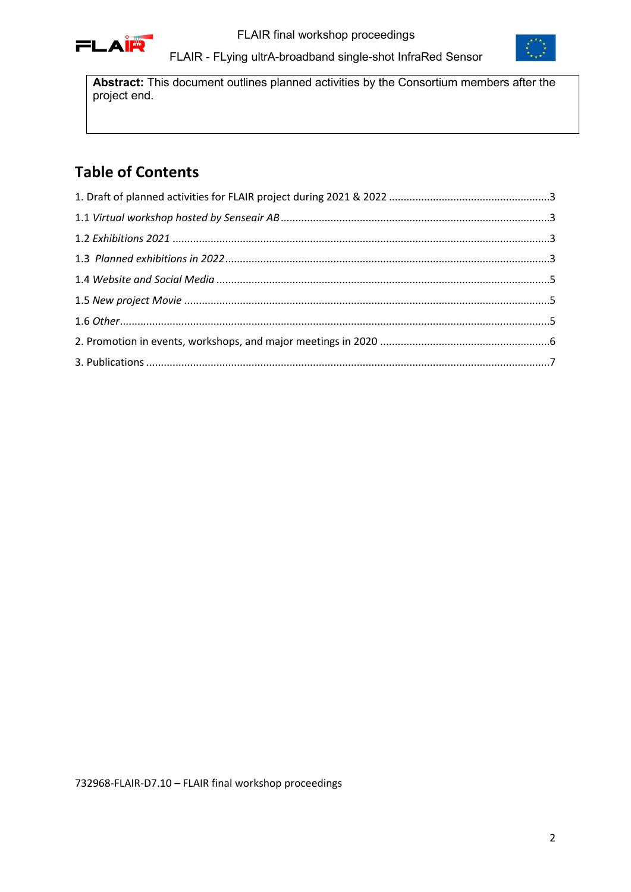



FLAIR - FLying ultrA-broadband single-shot InfraRed Sensor

**Abstract:** This document outlines planned activities by the Consortium members after the project end.

# **Table of Contents**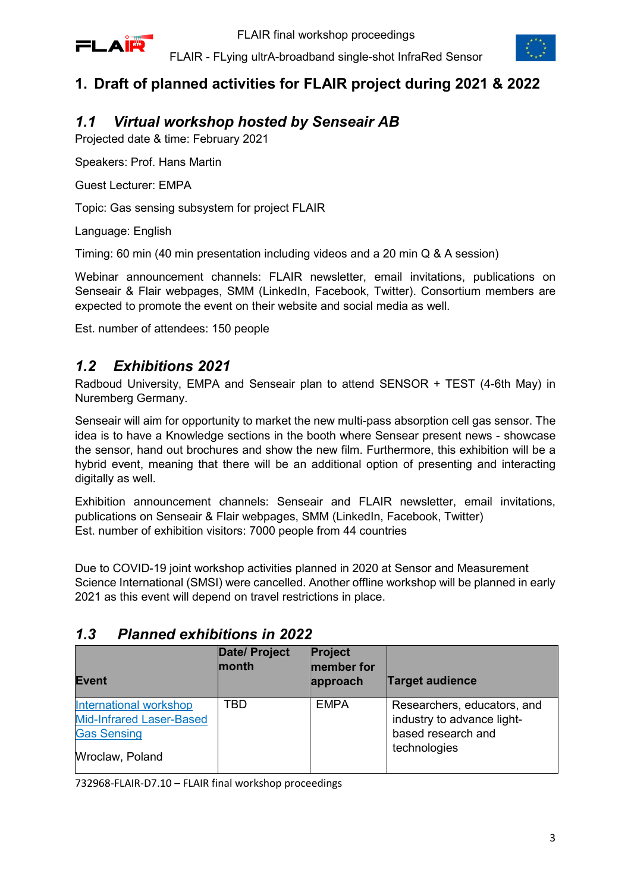

## <span id="page-2-0"></span>**1. Draft of planned activities for FLAIR project during 2021 & 2022**

### <span id="page-2-1"></span>*1.1 Virtual workshop hosted by Senseair AB*

Projected date & time: February 2021

Speakers: Prof. Hans Martin

Guest Lecturer: EMPA

Topic: Gas sensing subsystem for project FLAIR

Language: English

Timing: 60 min (40 min presentation including videos and a 20 min Q & A session)

Webinar announcement channels: FLAIR newsletter, email invitations, publications on Senseair & Flair webpages, SMM (LinkedIn, Facebook, Twitter). Consortium members are expected to promote the event on their website and social media as well.

Est. number of attendees: 150 people

#### <span id="page-2-2"></span>*1.2 Exhibitions 2021*

Radboud University, EMPA and Senseair plan to attend SENSOR + TEST (4-6th May) in Nuremberg Germany.

Senseair will aim for opportunity to market the new multi-pass absorption cell gas sensor. The idea is to have a Knowledge sections in the booth where Sensear present news - showcase the sensor, hand out brochures and show the new film. Furthermore, this exhibition will be a hybrid event, meaning that there will be an additional option of presenting and interacting digitally as well.

Exhibition announcement channels: Senseair and FLAIR newsletter, email invitations, publications on Senseair & Flair webpages, SMM (LinkedIn, Facebook, Twitter) Est. number of exhibition visitors: 7000 people from 44 countries

Due to COVID-19 joint workshop activities planned in 2020 at Sensor and Measurement Science International (SMSI) were cancelled. Another offline workshop will be planned in early 2021 as this event will depend on travel restrictions in place.

| <b>Event</b>                                                                                              | <b>Date/ Project</b><br>month | Project<br>member for<br>approach | <b>Target audience</b>                                                                          |
|-----------------------------------------------------------------------------------------------------------|-------------------------------|-----------------------------------|-------------------------------------------------------------------------------------------------|
| <b>International workshop</b><br><b>Mid-Infrared Laser-Based</b><br><b>Gas Sensing</b><br>Wroclaw, Poland | TBD                           | <b>EMPA</b>                       | Researchers, educators, and<br>industry to advance light-<br>based research and<br>technologies |

#### <span id="page-2-3"></span>*1.3 Planned exhibitions in 2022*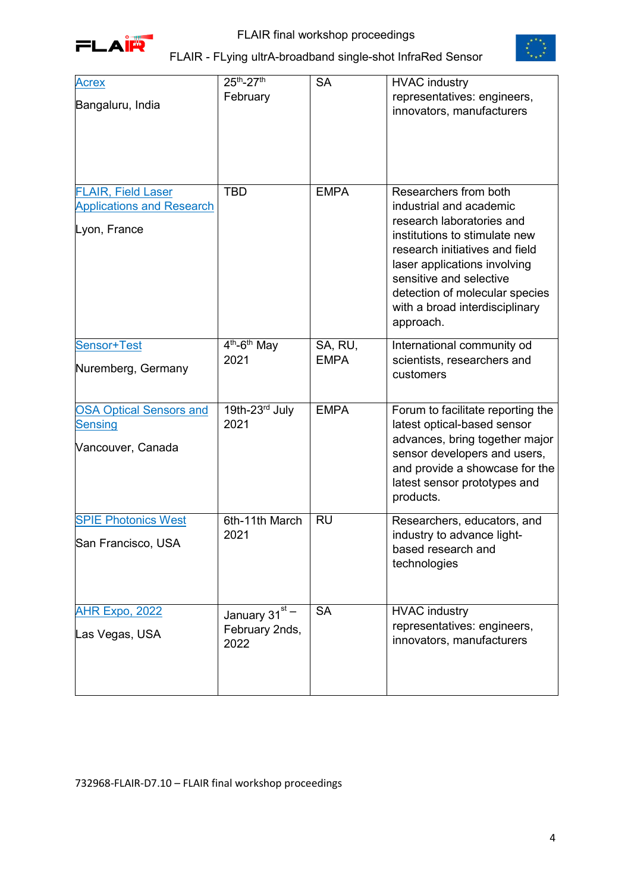



| <b>Acrex</b>                                                                  | 25th-27th                                           | <b>SA</b>              | <b>HVAC industry</b>                                                                                                                                                                                                                                                                         |
|-------------------------------------------------------------------------------|-----------------------------------------------------|------------------------|----------------------------------------------------------------------------------------------------------------------------------------------------------------------------------------------------------------------------------------------------------------------------------------------|
| Bangaluru, India                                                              | February                                            |                        | representatives: engineers,<br>innovators, manufacturers                                                                                                                                                                                                                                     |
| <b>FLAIR, Field Laser</b><br><b>Applications and Research</b><br>Lyon, France | <b>TBD</b>                                          | <b>EMPA</b>            | Researchers from both<br>industrial and academic<br>research laboratories and<br>institutions to stimulate new<br>research initiatives and field<br>laser applications involving<br>sensitive and selective<br>detection of molecular species<br>with a broad interdisciplinary<br>approach. |
| Sensor+Test<br>Nuremberg, Germany                                             | $4th-6th$ May<br>2021                               | SA, RU,<br><b>EMPA</b> | International community od<br>scientists, researchers and<br>customers                                                                                                                                                                                                                       |
| <b>OSA Optical Sensors and</b><br><b>Sensing</b><br>Vancouver, Canada         | 19th-23rd July<br>2021                              | <b>EMPA</b>            | Forum to facilitate reporting the<br>latest optical-based sensor<br>advances, bring together major<br>sensor developers and users,<br>and provide a showcase for the<br>latest sensor prototypes and<br>products.                                                                            |
| <b>SPIE Photonics West</b><br>San Francisco, USA                              | 6th-11th March<br>2021                              | <b>RU</b>              | Researchers, educators, and<br>industry to advance light-<br>based research and<br>technologies                                                                                                                                                                                              |
| <b>AHR Expo, 2022</b><br>Las Vegas, USA                                       | January 31 $\overline{+}$<br>February 2nds,<br>2022 | <b>SA</b>              | <b>HVAC industry</b><br>representatives: engineers,<br>innovators, manufacturers                                                                                                                                                                                                             |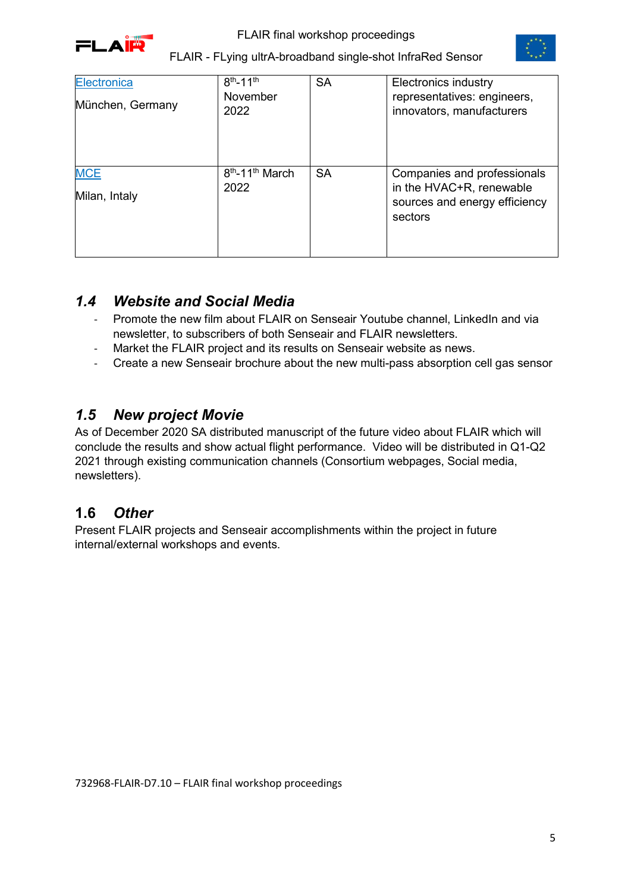



| Electronica<br>München, Germany | $8^{th} - 11^{th}$<br>November<br>2022          | <b>SA</b> | <b>Electronics industry</b><br>representatives: engineers,<br>innovators, manufacturers             |
|---------------------------------|-------------------------------------------------|-----------|-----------------------------------------------------------------------------------------------------|
| <b>MCE</b><br>Milan, Intaly     | 8 <sup>th</sup> -11 <sup>th</sup> March<br>2022 | <b>SA</b> | Companies and professionals<br>in the HVAC+R, renewable<br>sources and energy efficiency<br>sectors |

#### <span id="page-4-0"></span>*1.4 Website and Social Media*

- Promote the new film about FLAIR on Senseair Youtube channel, LinkedIn and via newsletter, to subscribers of both Senseair and FLAIR newsletters.
- Market the FLAIR project and its results on Senseair website as news.
- Create a new Senseair brochure about the new multi-pass absorption cell gas sensor

#### <span id="page-4-1"></span>*1.5 New project Movie*

As of December 2020 SA distributed manuscript of the future video about FLAIR which will conclude the results and show actual flight performance. Video will be distributed in Q1-Q2 2021 through existing communication channels (Consortium webpages, Social media, newsletters).

### <span id="page-4-2"></span>**1.6** *Other*

Present FLAIR projects and Senseair accomplishments within the project in future internal/external workshops and events.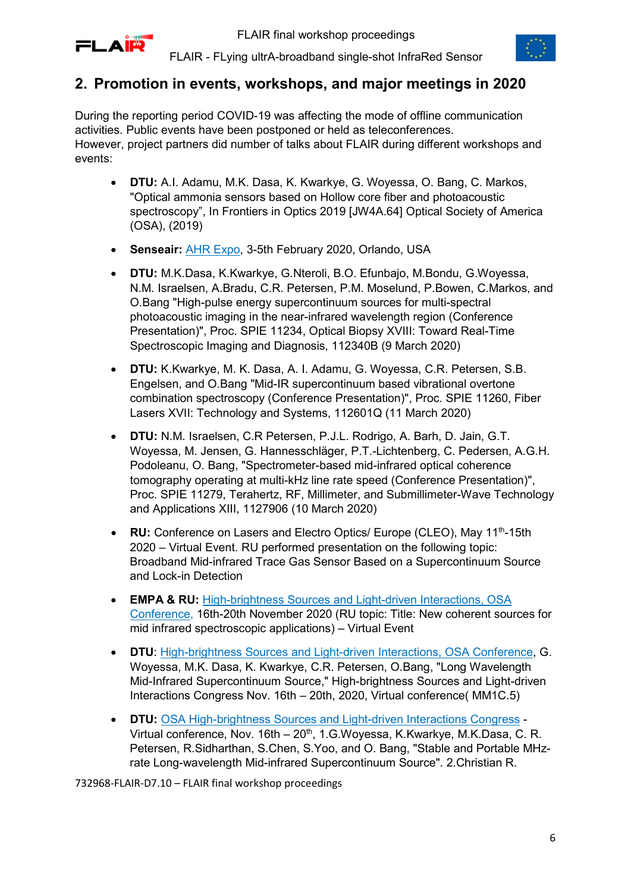



#### <span id="page-5-0"></span>**2. Promotion in events, workshops, and major meetings in 2020**

During the reporting period COVID-19 was affecting the mode of offline communication activities. Public events have been postponed or held as teleconferences. However, project partners did number of talks about FLAIR during different workshops and events:

- **DTU:** A.I. Adamu, M.K. Dasa, K. Kwarkye, G. Woyessa, O. Bang, C. Markos, "Optical ammonia sensors based on Hollow core fiber and photoacoustic spectroscopy", In Frontiers in Optics 2019 [JW4A.64] Optical Society of America (OSA), (2019)
- **Senseair:** [AHR Expo,](https://ahrexpo.com/upcomi%20ng-shows/) 3-5th February 2020, Orlando, USA
- **DTU:** M.K.Dasa, K.Kwarkye, G.Nteroli, B.O. Efunbajo, M.Bondu, G.Woyessa, N.M. Israelsen, A.Bradu, C.R. Petersen, P.M. Moselund, P.Bowen, C.Markos, and O.Bang "High-pulse energy supercontinuum sources for multi-spectral photoacoustic imaging in the near-infrared wavelength region (Conference Presentation)", Proc. SPIE 11234, Optical Biopsy XVIII: Toward Real-Time Spectroscopic Imaging and Diagnosis, 112340B (9 March 2020)
- **DTU:** K.Kwarkye, M. K. Dasa, A. I. Adamu, G. Woyessa, C.R. Petersen, S.B. Engelsen, and O.Bang "Mid-IR supercontinuum based vibrational overtone combination spectroscopy (Conference Presentation)", Proc. SPIE 11260, Fiber Lasers XVII: Technology and Systems, 112601Q (11 March 2020)
- **DTU:** N.M. Israelsen, C.R Petersen, P.J.L. Rodrigo, A. Barh, D. Jain, G.T. Woyessa, M. Jensen, G. Hannesschläger, P.T.-Lichtenberg, C. Pedersen, A.G.H. Podoleanu, O. Bang, "Spectrometer-based mid-infrared optical coherence tomography operating at multi-kHz line rate speed (Conference Presentation)", Proc. SPIE 11279, Terahertz, RF, Millimeter, and Submillimeter-Wave Technology and Applications XIII, 1127906 (10 March 2020)
- **RU:** Conference on Lasers and Electro Optics/ Europe (CLEO), May 11<sup>th</sup>-15th 2020 – Virtual Event. RU performed presentation on the following topic: Broadband Mid-infrared Trace Gas Sensor Based on a Supercontinuum Source and Lock-in Detection
- **EMPA & RU:** [High-brightness Sources and Light-driven Interactions, OSA](https://www.osa.org/en-us/meetings/osa_meetings/high-brightness_sources_and_light-driven_interacti/schedule/)  [Conference,](https://www.osa.org/en-us/meetings/osa_meetings/high-brightness_sources_and_light-driven_interacti/schedule/) 16th-20th November 2020 (RU topic: Title: New coherent sources for mid infrared spectroscopic applications) – Virtual Event
- **DTU**: [High-brightness Sources and Light-driven Interactions, OSA Conference,](https://www.osa.org/en-us/meetings/osa_meetings/high-brightness_sources_and_light-driven_interacti/schedule/) G. Woyessa, M.K. Dasa, K. Kwarkye, C.R. Petersen, O.Bang, "Long Wavelength Mid-Infrared Supercontinuum Source," High-brightness Sources and Light-driven Interactions Congress Nov. 16th – 20th, 2020, Virtual conference( MM1C.5)
- **DTU:** [OSA High-brightness Sources and Light-driven Interactions Congress](https://www.osa.org/en-us/meetings/osa_meetings/high-brightness_sources_and_light-driven_interacti/schedule/) Virtual conference, Nov. 16th – 20<sup>th</sup>, 1.G.Woyessa, K.Kwarkye, M.K.Dasa, C. R. Petersen, R.Sidharthan, S.Chen, S.Yoo, and O. Bang, "Stable and Portable MHzrate Long-wavelength Mid-infrared Supercontinuum Source". 2.Christian R.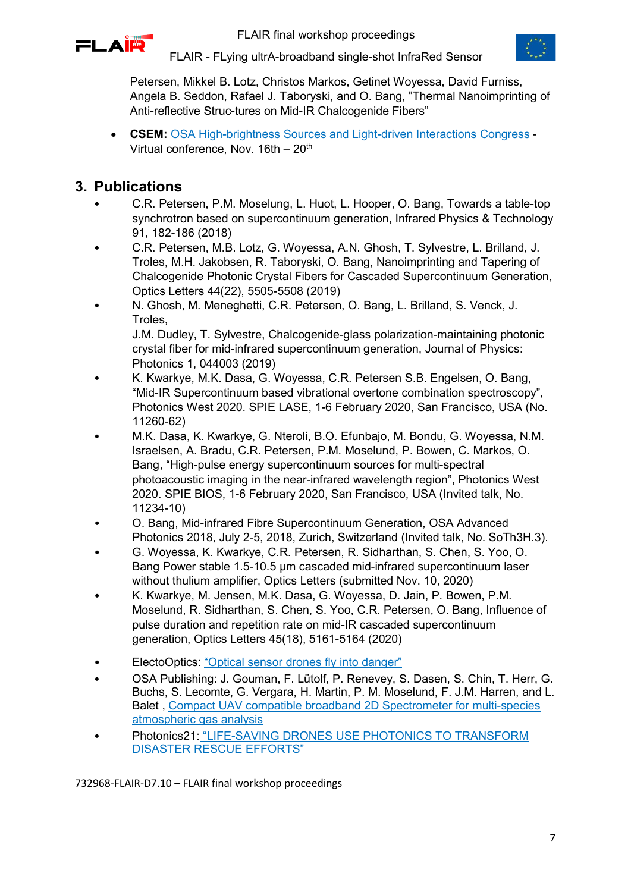



FLAIR - FLying ultrA-broadband single-shot InfraRed Sensor

Petersen, Mikkel B. Lotz, Christos Markos, Getinet Woyessa, David Furniss, Angela B. Seddon, Rafael J. Taboryski, and O. Bang, "Thermal Nanoimprinting of Anti-reflective Struc-tures on Mid-IR Chalcogenide Fibers"

• **CSEM:** [OSA High-brightness Sources and Light-driven Interactions Congress](https://www.osa.org/en-us/meetings/osa_meetings/high-brightness_sources_and_light-driven_interacti/schedule/) - Virtual conference, Nov.  $16th - 20<sup>th</sup>$ 

#### <span id="page-6-0"></span>**3. Publications**

- C.R. Petersen, P.M. Moselung, L. Huot, L. Hooper, O. Bang, Towards a table-top synchrotron based on supercontinuum generation, Infrared Physics & Technology 91, 182-186 (2018)
- C.R. Petersen, M.B. Lotz, G. Woyessa, A.N. Ghosh, T. Sylvestre, L. Brilland, J. Troles, M.H. Jakobsen, R. Taboryski, O. Bang, Nanoimprinting and Tapering of Chalcogenide Photonic Crystal Fibers for Cascaded Supercontinuum Generation, Optics Letters 44(22), 5505-5508 (2019)
- N. Ghosh, M. Meneghetti, C.R. Petersen, O. Bang, L. Brilland, S. Venck, J. Troles, J.M. Dudley, T. Sylvestre, Chalcogenide-glass polarization-maintaining photonic

crystal fiber for mid-infrared supercontinuum generation, Journal of Physics: Photonics 1, 044003 (2019)

- K. Kwarkye, M.K. Dasa, G. Woyessa, C.R. Petersen S.B. Engelsen, O. Bang, "Mid-IR Supercontinuum based vibrational overtone combination spectroscopy", Photonics West 2020. SPIE LASE, 1-6 February 2020, San Francisco, USA (No. 11260-62)
- M.K. Dasa, K. Kwarkye, G. Nteroli, B.O. Efunbajo, M. Bondu, G. Woyessa, N.M. Israelsen, A. Bradu, C.R. Petersen, P.M. Moselund, P. Bowen, C. Markos, O. Bang, "High-pulse energy supercontinuum sources for multi-spectral photoacoustic imaging in the near-infrared wavelength region", Photonics West 2020. SPIE BIOS, 1-6 February 2020, San Francisco, USA (Invited talk, No. 11234-10)
- O. Bang, Mid-infrared Fibre Supercontinuum Generation, OSA Advanced Photonics 2018, July 2-5, 2018, Zurich, Switzerland (Invited talk, No. SoTh3H.3).
- G. Woyessa, K. Kwarkye, C.R. Petersen, R. Sidharthan, S. Chen, S. Yoo, O. Bang Power stable 1.5-10.5 µm cascaded mid-infrared supercontinuum laser without thulium amplifier, Optics Letters (submitted Nov. 10, 2020)
- K. Kwarkye, M. Jensen, M.K. Dasa, G. Woyessa, D. Jain, P. Bowen, P.M. Moselund, R. Sidharthan, S. Chen, S. Yoo, C.R. Petersen, O. Bang, Influence of pulse duration and repetition rate on mid-IR cascaded supercontinuum generation, Optics Letters 45(18), 5161-5164 (2020)
- ElectoOptics: ["Optical sensor drones fly into danger"](https://www.electrooptics.com/feature/optical-sensor-drones-fly-danger)
- OSA Publishing: J. Gouman, F. Lütolf, P. Renevey, S. Dasen, S. Chin, T. Herr, G. Buchs, S. Lecomte, G. Vergara, H. Martin, P. M. Moselund, F. J.M. Harren, and L. Balet , [Compact UAV compatible broadband 2D Spectrometer for multi-species](https://www.osapublishing.org/abstract.cfm?uri=LSC-2019-LTu5B.4)  [atmospheric gas analysis](https://www.osapublishing.org/abstract.cfm?uri=LSC-2019-LTu5B.4)
- Photonics21: "LIFE-SAVING DRONES USE PHOTONICS TO TRANSFORM [DISASTER RESCUE EFFORTS"](https://www.photonics21.org/2017/life-saving-drones-use-photonics-to-transform-disaster-rescue-efforts)